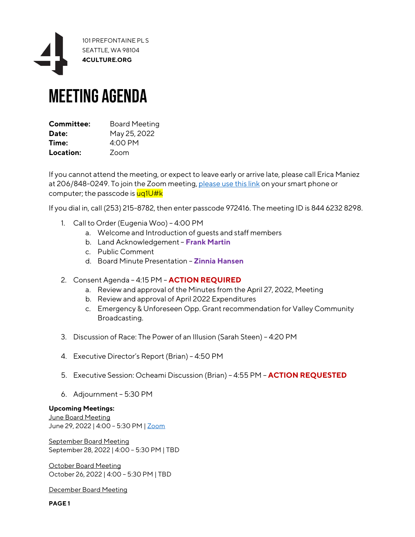

## Meeting Agenda

| Committee: | <b>Board Meeting</b> |
|------------|----------------------|
| Date:      | May 25, 2022         |
| Time:      | $4:00$ PM            |
| Location:  | Zoom                 |

If you cannot attend the meeting, or expect to leave early or arrive late, please call Erica Maniez at 206/848-0249. To join the Zoom meeting, [please use this link](https://4culture.zoom.us/w/84462328298?tk=QAQ75-GNC0De5-xk6wRst6ZpDLZeN3jmDoHoHMn52rw.DQMAAAATqljZ6hZhTUJTLU1ZY1RHT2NwbFhmZFR5SnlRAAAAAAAAAAAAAAAAAAAAAAAAAAAAAA&pwd=RVhWUDZTQXhUOFJDS2hRY1RHWHJlQT09) on your smart phone or computer; the passcode is uq1U#k

If you dial in, call (253) 215-8782, then enter passcode 972416. The meeting ID is 844 6232 8298.

- 1. Call to Order (Eugenia Woo) 4:00 PM
	- a. Welcome and Introduction of guests and staff members
	- b. Land Acknowledgement **Frank Martin**
	- c. Public Comment
	- d. Board Minute Presentation **Zinnia Hansen**
- 2. Consent Agenda 4:15 PM **ACTION REQUIRED**
	- a. Review and approval of the Minutes from the April 27, 2022, Meeting
	- b. Review and approval of April 2022 Expenditures
	- c. Emergency & Unforeseen Opp. Grant recommendation for Valley Community Broadcasting.
- 3. Discussion of Race: The Power of an Illusion (Sarah Steen) 4:20 PM
- 4. Executive Director's Report (Brian) 4:50 PM
- 5. Executive Session: Ocheami Discussion (Brian) 4:55 PM **ACTION REQUESTED**
- 6. Adjournment 5:30 PM

## **Upcoming Meetings:**

June Board Meeting June 29, 2022 | 4:00 – 5:30 PM [| Zoom](https://4culture.zoom.us/meeting/register/tZApceurrDMoE9zhEf8p-1hKZh7YyX6MWDvK)

September Board Meeting September 28, 2022 | 4:00 – 5:30 PM | TBD

October Board Meeting October 26, 2022 | 4:00 – 5:30 PM | TBD

December Board Meeting

**PAGE 1**